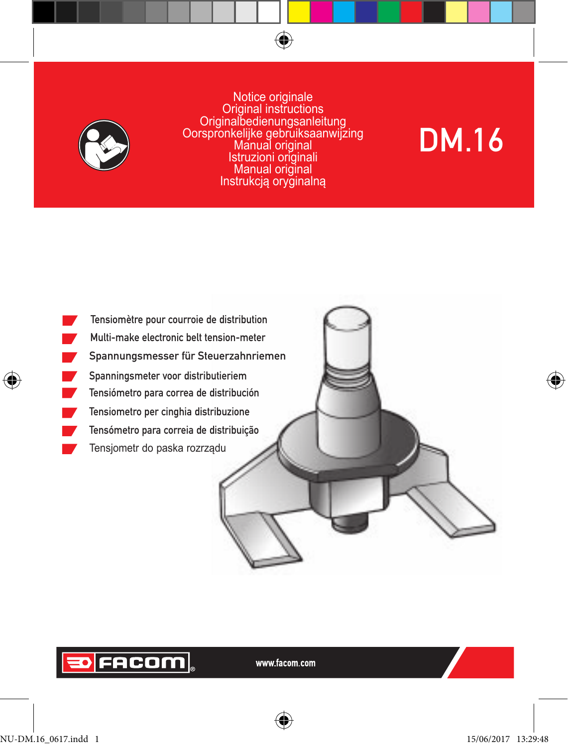

Notice originale Original instructions Originalbedienungsanleitung Oorspronkelijke gebruiksaanwijzing Manual original Istruzioni originali Manual original Instrukcją oryginalną

 $\bigoplus$ 



## **ED FACOM**

www.facom.com

€

⊕

DM.16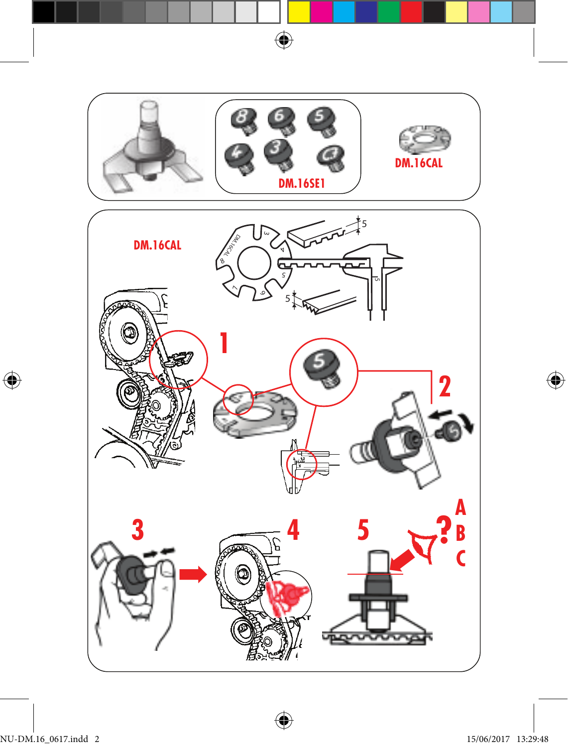

 $\bigoplus$ 



 $\bigoplus$ 

 $\bigoplus$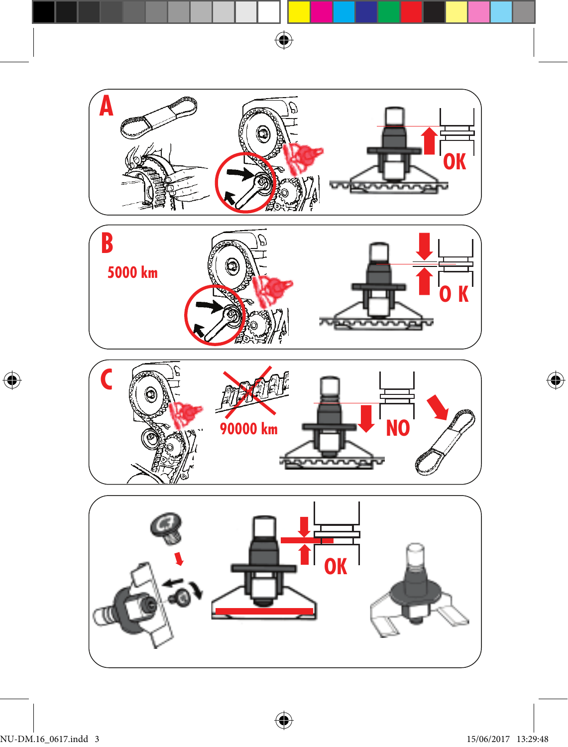

⊕

NU-DM.16\_0617.indd 3 15/06/2017 13:29:48

 $\bigoplus$ 

 $\bigoplus$